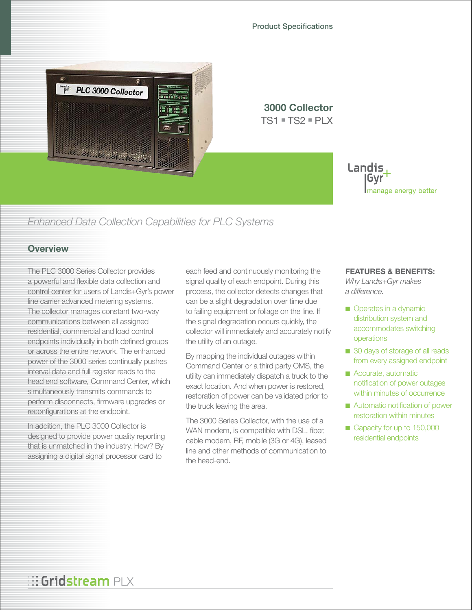Product Specifications



**3000 Collector**  $TS1 = TS2 = PIX$ 



# *Enhanced Data Collection Capabilities for PLC Systems*

### **Overview**

The PLC 3000 Series Collector provides a powerful and flexible data collection and control center for users of Landis+Gyr's power line carrier advanced metering systems. The collector manages constant two-way communications between all assigned residential, commercial and load control endpoints individually in both defined groups or across the entire network. The enhanced power of the 3000 series continually pushes interval data and full register reads to the head end software, Command Center, which simultaneously transmits commands to perform disconnects, firmware upgrades or reconfigurations at the endpoint.

In addition, the PLC 3000 Collector is designed to provide power quality reporting that is unmatched in the industry. How? By assigning a digital signal processor card to

each feed and continuously monitoring the signal quality of each endpoint. During this process, the collector detects changes that can be a slight degradation over time due to failing equipment or foliage on the line. If the signal degradation occurs quickly, the collector will immediately and accurately notify the utility of an outage.

By mapping the individual outages within Command Center or a third party OMS, the utility can immediately dispatch a truck to the exact location. And when power is restored, restoration of power can be validated prior to the truck leaving the area.

The 3000 Series Collector, with the use of a WAN modem, is compatible with DSL, fiber, cable modem, RF, mobile (3G or 4G), leased line and other methods of communication to the head-end.

#### **FEATURES & BENEFITS:**

*Why Landis+Gyr makes a difference.*

- Operates in a dynamic distribution system and accommodates switching operations
- 30 days of storage of all reads from every assigned endpoint
- Accurate, automatic notification of power outages within minutes of occurrence
- Automatic notification of power restoration within minutes
- Capacity for up to 150,000 residential endpoints

# **Bridstream** PLX